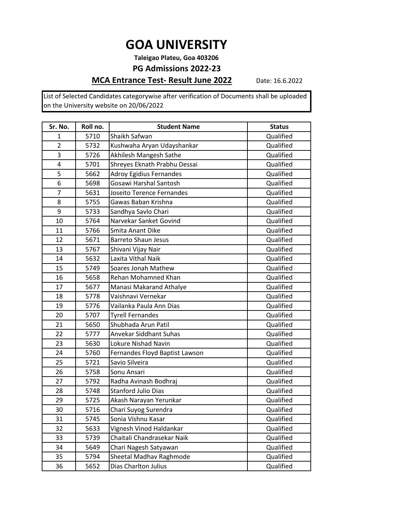**Taleigao Plateu, Goa 403206**

#### **PG Admissions 2022-23**

### **MCA Entrance Test- Result June 2022**

Date: 16.6.2022

| Sr. No.        | Roll no. | <b>Student Name</b>            | <b>Status</b> |
|----------------|----------|--------------------------------|---------------|
| 1              | 5710     | Shaikh Safwan                  | Qualified     |
| $\overline{2}$ | 5732     | Kushwaha Aryan Udayshankar     | Qualified     |
| 3              | 5726     | Akhilesh Mangesh Sathe         | Qualified     |
| 4              | 5701     | Shreyes Eknath Prabhu Dessai   | Qualified     |
| 5              | 5662     | <b>Adroy Egidius Fernandes</b> | Qualified     |
| 6              | 5698     | Gosawi Harshal Santosh         | Qualified     |
| $\overline{7}$ | 5631     | Joseito Terence Fernandes      | Qualified     |
| 8              | 5755     | Gawas Baban Krishna            | Qualified     |
| 9              | 5733     | Sandhya Savlo Chari            | Qualified     |
| 10             | 5764     | Narvekar Sanket Govind         | Qualified     |
| 11             | 5766     | Smita Anant Dike               | Qualified     |
| 12             | 5671     | <b>Barreto Shaun Jesus</b>     | Qualified     |
| 13             | 5767     | Shivani Vijay Nair             | Qualified     |
| 14             | 5632     | Laxita Vithal Naik             | Qualified     |
| 15             | 5749     | Soares Jonah Mathew            | Qualified     |
| 16             | 5658     | Rehan Mohamned Khan            | Qualified     |
| 17             | 5677     | Manasi Makarand Athalye        | Qualified     |
| 18             | 5778     | Vaishnavi Vernekar             | Qualified     |
| 19             | 5776     | Vailanka Paula Ann Dias        | Qualified     |
| 20             | 5707     | <b>Tyrell Fernandes</b>        | Qualified     |
| 21             | 5650     | Shubhada Arun Patil            | Qualified     |
| 22             | 5777     | Anvekar Siddhant Suhas         | Qualified     |
| 23             | 5630     | Lokure Nishad Navin            | Qualified     |
| 24             | 5760     | Fernandes Floyd Baptist Lawson | Qualified     |
| 25             | 5721     | Savio Silveira                 | Qualified     |
| 26             | 5758     | Sonu Ansari                    | Qualified     |
| 27             | 5792     | Radha Avinash Bodhraj          | Qualified     |
| 28             | 5748     | <b>Stanford Julio Dias</b>     | Qualified     |
| 29             | 5725     | Akash Narayan Yerunkar         | Qualified     |
| 30             | 5716     | Chari Suyog Surendra           | Qualified     |
| 31             | 5745     | Sonia Vishnu Kasar             | Qualified     |
| 32             | 5633     | Vignesh Vinod Haldankar        | Qualified     |
| 33             | 5739     | Chaitali Chandrasekar Naik     | Qualified     |
| 34             | 5649     | Chari Nagesh Satyawan          | Qualified     |
| 35             | 5794     | Sheetal Madhav Raghmode        | Qualified     |
| 36             | 5652     | Dias Charlton Julius           | Qualified     |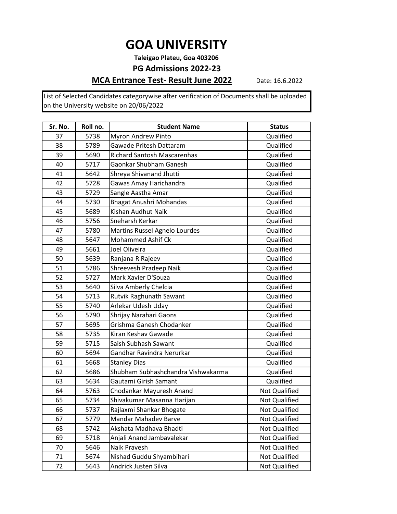**Taleigao Plateu, Goa 403206**

#### **PG Admissions 2022-23**

### **MCA Entrance Test- Result June 2022**

Date: 16.6.2022

| Sr. No. | Roll no. | <b>Student Name</b>                | <b>Status</b>        |
|---------|----------|------------------------------------|----------------------|
| 37      | 5738     | Myron Andrew Pinto                 | Qualified            |
| 38      | 5789     | Gawade Pritesh Dattaram            | Qualified            |
| 39      | 5690     | <b>Richard Santosh Mascarenhas</b> | Qualified            |
| 40      | 5717     | Gaonkar Shubham Ganesh             | Qualified            |
| 41      | 5642     | Shreya Shivanand Jhutti            | Qualified            |
| 42      | 5728     | Gawas Amay Harichandra             | Qualified            |
| 43      | 5729     | Sangle Aastha Amar                 | Qualified            |
| 44      | 5730     | <b>Bhagat Anushri Mohandas</b>     | Qualified            |
| 45      | 5689     | Kishan Audhut Naik                 | Qualified            |
| 46      | 5756     | Sneharsh Kerkar                    | Qualified            |
| 47      | 5780     | Martins Russel Agnelo Lourdes      | Qualified            |
| 48      | 5647     | Mohammed Ashif Ck                  | Qualified            |
| 49      | 5661     | Joel Oliveira                      | Qualified            |
| 50      | 5639     | Ranjana R Rajeev                   | Qualified            |
| 51      | 5786     | Shreevesh Pradeep Naik             | Qualified            |
| 52      | 5727     | Mark Xavier D'Souza                | Qualified            |
| 53      | 5640     | Silva Amberly Chelcia              | Qualified            |
| 54      | 5713     | Rutvik Raghunath Sawant            | Qualified            |
| 55      | 5740     | Arlekar Udesh Uday                 | Qualified            |
| 56      | 5790     | Shrijay Narahari Gaons             | Qualified            |
| 57      | 5695     | Grishma Ganesh Chodanker           | Qualified            |
| 58      | 5735     | Kiran Keshav Gawade                | Qualified            |
| 59      | 5715     | Saish Subhash Sawant               | Qualified            |
| 60      | 5694     | Gandhar Ravindra Nerurkar          | Qualified            |
| 61      | 5668     | <b>Stanley Dias</b>                | Qualified            |
| 62      | 5686     | Shubham Subhashchandra Vishwakarma | Qualified            |
| 63      | 5634     | Gautami Girish Samant              | Qualified            |
| 64      | 5763     | Chodankar Mayuresh Anand           | Not Qualified        |
| 65      | 5734     | Shivakumar Masanna Harijan         | Not Qualified        |
| 66      | 5737     | Rajlaxmi Shankar Bhogate           | <b>Not Qualified</b> |
| 67      | 5779     | Mandar Mahadev Barve               | Not Qualified        |
| 68      | 5742     | Akshata Madhava Bhadti             | Not Qualified        |
| 69      | 5718     | Anjali Anand Jambavalekar          | Not Qualified        |
| 70      | 5646     | Naik Pravesh                       | Not Qualified        |
| 71      | 5674     | Nishad Guddu Shyambihari           | <b>Not Qualified</b> |
| 72      | 5643     | Andrick Justen Silva               | Not Qualified        |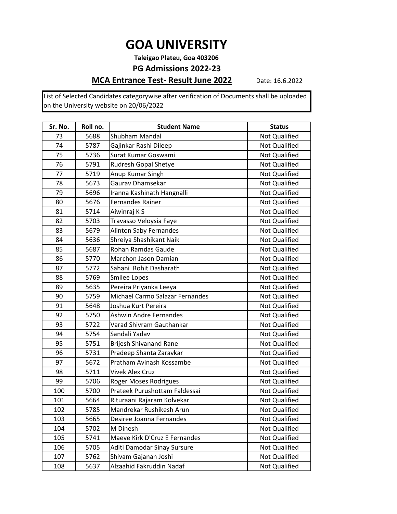**Taleigao Plateu, Goa 403206**

#### **PG Admissions 2022-23**

### **MCA Entrance Test- Result June 2022**

Date: 16.6.2022

| Sr. No. | Roll no. | <b>Student Name</b>             | <b>Status</b>        |
|---------|----------|---------------------------------|----------------------|
| 73      | 5688     | Shubham Mandal                  | Not Qualified        |
| 74      | 5787     | Gajinkar Rashi Dileep           | <b>Not Qualified</b> |
| 75      | 5736     | Surat Kumar Goswami             | Not Qualified        |
| 76      | 5791     | Rudresh Gopal Shetye            | Not Qualified        |
| 77      | 5719     | Anup Kumar Singh                | Not Qualified        |
| 78      | 5673     | Gaurav Dhamsekar                | Not Qualified        |
| 79      | 5696     | Iranna Kashinath Hangnalli      | <b>Not Qualified</b> |
| 80      | 5676     | <b>Fernandes Rainer</b>         | <b>Not Qualified</b> |
| 81      | 5714     | Aiwinraj K S                    | Not Qualified        |
| 82      | 5703     | Travasso Veloysia Faye          | Not Qualified        |
| 83      | 5679     | <b>Alinton Saby Fernandes</b>   | Not Qualified        |
| 84      | 5636     | Shreiya Shashikant Naik         | Not Qualified        |
| 85      | 5687     | Rohan Ramdas Gaude              | Not Qualified        |
| 86      | 5770     | Marchon Jason Damian            | Not Qualified        |
| 87      | 5772     | Sahani Rohit Dasharath          | Not Qualified        |
| 88      | 5769     | Smilee Lopes                    | Not Qualified        |
| 89      | 5635     | Pereira Priyanka Leeya          | Not Qualified        |
| 90      | 5759     | Michael Carmo Salazar Fernandes | Not Qualified        |
| 91      | 5648     | Joshua Kurt Pereira             | Not Qualified        |
| 92      | 5750     | <b>Ashwin Andre Fernandes</b>   | Not Qualified        |
| 93      | 5722     | Varad Shivram Gauthankar        | Not Qualified        |
| 94      | 5754     | Sandali Yadav                   | Not Qualified        |
| 95      | 5751     | Brijesh Shivanand Rane          | Not Qualified        |
| 96      | 5731     | Pradeep Shanta Zaravkar         | Not Qualified        |
| 97      | 5672     | Pratham Avinash Kossambe        | Not Qualified        |
| 98      | 5711     | Vivek Alex Cruz                 | Not Qualified        |
| 99      | 5706     | Roger Moses Rodrigues           | Not Qualified        |
| 100     | 5700     | Prateek Purushottam Faldessai   | Not Qualified        |
| 101     | 5664     | Rituraani Rajaram Kolvekar      | Not Qualified        |
| 102     | 5785     | Mandrekar Rushikesh Arun        | Not Qualified        |
| 103     | 5665     | Desiree Joanna Fernandes        | Not Qualified        |
| 104     | 5702     | M Dinesh                        | Not Qualified        |
| 105     | 5741     | Maeve Kirk D'Cruz E Fernandes   | <b>Not Qualified</b> |
| 106     | 5705     | Aditi Damodar Sinay Sursure     | Not Qualified        |
| 107     | 5762     | Shivam Gajanan Joshi            | Not Qualified        |
| 108     | 5637     | Alzaahid Fakruddin Nadaf        | Not Qualified        |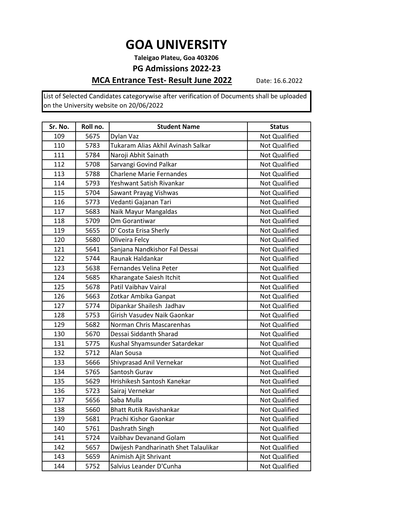**Taleigao Plateu, Goa 403206**

#### **PG Admissions 2022-23**

### **MCA Entrance Test- Result June 2022**

Date: 16.6.2022

| Sr. No. | Roll no. | <b>Student Name</b>                  | <b>Status</b>        |
|---------|----------|--------------------------------------|----------------------|
| 109     | 5675     | Dylan Vaz                            | Not Qualified        |
| 110     | 5783     | Tukaram Alias Akhil Avinash Salkar   | Not Qualified        |
| 111     | 5784     | Naroji Abhit Sainath                 | <b>Not Qualified</b> |
| 112     | 5708     | Sarvangi Govind Palkar               | <b>Not Qualified</b> |
| 113     | 5788     | <b>Charlene Marie Fernandes</b>      | Not Qualified        |
| 114     | 5793     | Yeshwant Satish Rivankar             | <b>Not Qualified</b> |
| 115     | 5704     | Sawant Prayag Vishwas                | <b>Not Qualified</b> |
| 116     | 5773     | Vedanti Gajanan Tari                 | Not Qualified        |
| 117     | 5683     | Naik Mayur Mangaldas                 | <b>Not Qualified</b> |
| 118     | 5709     | Om Gorantiwar                        | Not Qualified        |
| 119     | 5655     | D' Costa Erisa Sherly                | Not Qualified        |
| 120     | 5680     | Oliveira Felcy                       | Not Qualified        |
| 121     | 5641     | Sanjana Nandkishor Fal Dessai        | <b>Not Qualified</b> |
| 122     | 5744     | Raunak Haldankar                     | Not Qualified        |
| 123     | 5638     | Fernandes Velina Peter               | Not Qualified        |
| 124     | 5685     | Kharangate Saiesh Itchit             | Not Qualified        |
| 125     | 5678     | Patil Vaibhav Vairal                 | Not Qualified        |
| 126     | 5663     | Zotkar Ambika Ganpat                 | <b>Not Qualified</b> |
| 127     | 5774     | Dipankar Shailesh Jadhav             | <b>Not Qualified</b> |
| 128     | 5753     | Girish Vasudev Naik Gaonkar          | Not Qualified        |
| 129     | 5682     | Norman Chris Mascarenhas             | Not Qualified        |
| 130     | 5670     | Dessai Siddanth Sharad               | <b>Not Qualified</b> |
| 131     | 5775     | Kushal Shyamsunder Satardekar        | <b>Not Qualified</b> |
| 132     | 5712     | Alan Sousa                           | Not Qualified        |
| 133     | 5666     | Shivprasad Anil Vernekar             | Not Qualified        |
| 134     | 5765     | Santosh Gurav                        | <b>Not Qualified</b> |
| 135     | 5629     | Hrishikesh Santosh Kanekar           | Not Qualified        |
| 136     | 5723     | Sairaj Vernekar                      | Not Qualified        |
| 137     | 5656     | Saba Mulla                           | Not Qualified        |
| 138     | 5660     | <b>Bhatt Rutik Ravishankar</b>       | Not Qualified        |
| 139     | 5681     | Prachi Kishor Gaonkar                | Not Qualified        |
| 140     | 5761     | Dashrath Singh                       | <b>Not Qualified</b> |
| 141     | 5724     | Vaibhav Devanand Golam               | <b>Not Qualified</b> |
| 142     | 5657     | Dwijesh Pandharinath Shet Talaulikar | Not Qualified        |
| 143     | 5659     | Animish Ajit Shrivant                | Not Qualified        |
| 144     | 5752     | Salvius Leander D'Cunha              | Not Qualified        |